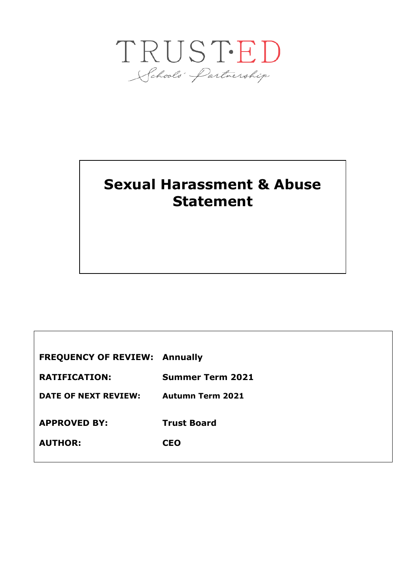

## **Sexual Harassment & Abuse Statement**

**FREQUENCY OF REVIEW: Annually RATIFICATION: Summer Term 2021 DATE OF NEXT REVIEW: Autumn Term 2021 APPROVED BY: Trust Board AUTHOR: CEO**